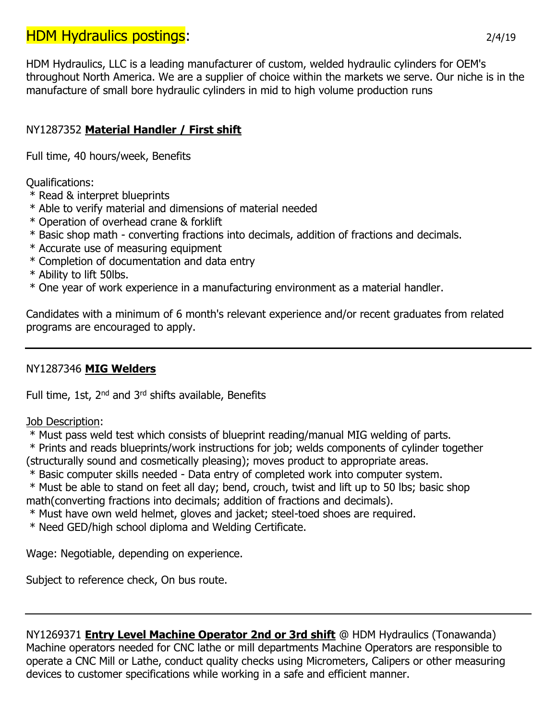# **HDM Hydraulics postings:** 2/4/19

HDM Hydraulics, LLC is a leading manufacturer of custom, welded hydraulic cylinders for OEM's throughout North America. We are a supplier of choice within the markets we serve. Our niche is in the manufacture of small bore hydraulic cylinders in mid to high volume production runs

## NY1287352 **Material Handler / First shift**

Full time, 40 hours/week, Benefits

Qualifications:

- \* Read & interpret blueprints
- \* Able to verify material and dimensions of material needed
- \* Operation of overhead crane & forklift
- \* Basic shop math converting fractions into decimals, addition of fractions and decimals.
- \* Accurate use of measuring equipment
- \* Completion of documentation and data entry
- \* Ability to lift 50lbs.
- \* One year of work experience in a manufacturing environment as a material handler.

Candidates with a minimum of 6 month's relevant experience and/or recent graduates from related programs are encouraged to apply.

### NY1287346 **MIG Welders**

Full time, 1st, 2<sup>nd</sup> and 3<sup>rd</sup> shifts available, Benefits

Job Description:

\* Must pass weld test which consists of blueprint reading/manual MIG welding of parts.

\* Prints and reads blueprints/work instructions for job; welds components of cylinder together (structurally sound and cosmetically pleasing); moves product to appropriate areas.

\* Basic computer skills needed - Data entry of completed work into computer system.

\* Must be able to stand on feet all day; bend, crouch, twist and lift up to 50 lbs; basic shop math(converting fractions into decimals; addition of fractions and decimals).

\* Must have own weld helmet, gloves and jacket; steel-toed shoes are required.

\* Need GED/high school diploma and Welding Certificate.

Wage: Negotiable, depending on experience.

Subject to reference check, On bus route.

NY1269371 **Entry Level Machine Operator 2nd or 3rd shift** @ HDM Hydraulics (Tonawanda) Machine operators needed for CNC lathe or mill departments Machine Operators are responsible to operate a CNC Mill or Lathe, conduct quality checks using Micrometers, Calipers or other measuring devices to customer specifications while working in a safe and efficient manner.